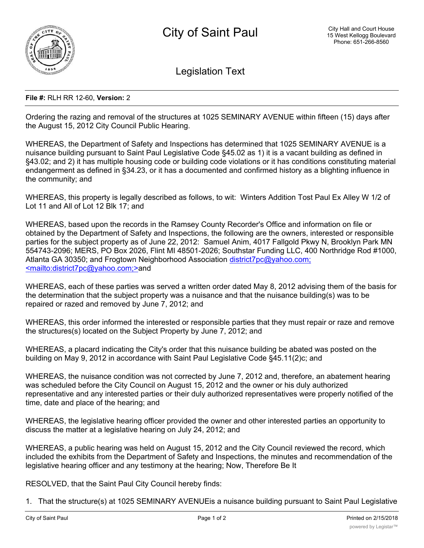

Legislation Text

## **File #:** RLH RR 12-60, **Version:** 2

Ordering the razing and removal of the structures at 1025 SEMINARY AVENUE within fifteen (15) days after the August 15, 2012 City Council Public Hearing.

WHEREAS, the Department of Safety and Inspections has determined that 1025 SEMINARY AVENUE is a nuisance building pursuant to Saint Paul Legislative Code §45.02 as 1) it is a vacant building as defined in §43.02; and 2) it has multiple housing code or building code violations or it has conditions constituting material endangerment as defined in §34.23, or it has a documented and confirmed history as a blighting influence in the community; and

WHEREAS, this property is legally described as follows, to wit: Winters Addition Tost Paul Ex Alley W 1/2 of Lot 11 and All of Lot 12 Blk 17; and

WHEREAS, based upon the records in the Ramsey County Recorder's Office and information on file or obtained by the Department of Safety and Inspections, the following are the owners, interested or responsible parties for the subject property as of June 22, 2012: Samuel Anim, 4017 Fallgold Pkwy N, Brooklyn Park MN 554743-2096; MERS, PO Box 2026, Flint MI 48501-2026; Southstar Funding LLC, 400 Northridge Rod #1000, Atlanta GA 30350; and Frogtown Neighborhood Association district7pc@yahoo.com; <mailto:district7pc@yahoo.com;>and

WHEREAS, each of these parties was served a written order dated May 8, 2012 advising them of the basis for the determination that the subject property was a nuisance and that the nuisance building(s) was to be repaired or razed and removed by June 7, 2012; and

WHEREAS, this order informed the interested or responsible parties that they must repair or raze and remove the structures(s) located on the Subject Property by June 7, 2012; and

WHEREAS, a placard indicating the City's order that this nuisance building be abated was posted on the building on May 9, 2012 in accordance with Saint Paul Legislative Code §45.11(2)c; and

WHEREAS, the nuisance condition was not corrected by June 7, 2012 and, therefore, an abatement hearing was scheduled before the City Council on August 15, 2012 and the owner or his duly authorized representative and any interested parties or their duly authorized representatives were properly notified of the time, date and place of the hearing; and

WHEREAS, the legislative hearing officer provided the owner and other interested parties an opportunity to discuss the matter at a legislative hearing on July 24, 2012; and

WHEREAS, a public hearing was held on August 15, 2012 and the City Council reviewed the record, which included the exhibits from the Department of Safety and Inspections, the minutes and recommendation of the legislative hearing officer and any testimony at the hearing; Now, Therefore Be It

RESOLVED, that the Saint Paul City Council hereby finds:

1. That the structure(s) at 1025 SEMINARY AVENUEis a nuisance building pursuant to Saint Paul Legislative